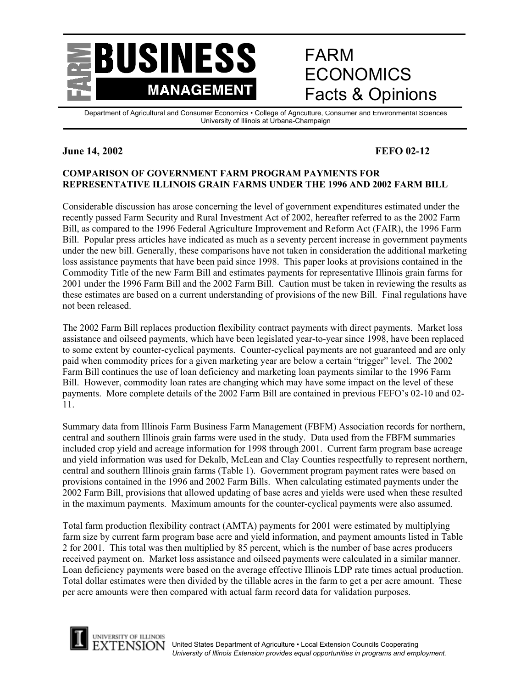

# FARM ECONOMICS Facts & Opinions

Department of Agricultural and Consumer Economics • College of Agriculture, Consumer and Environmental Sciences University of Illinois at Urbana-Champaign

# **June 14, 2002 FEFO 02-12**

#### **COMPARISON OF GOVERNMENT FARM PROGRAM PAYMENTS FOR REPRESENTATIVE ILLINOIS GRAIN FARMS UNDER THE 1996 AND 2002 FARM BILL**

Considerable discussion has arose concerning the level of government expenditures estimated under the recently passed Farm Security and Rural Investment Act of 2002, hereafter referred to as the 2002 Farm Bill, as compared to the 1996 Federal Agriculture Improvement and Reform Act (FAIR), the 1996 Farm Bill. Popular press articles have indicated as much as a seventy percent increase in government payments under the new bill. Generally, these comparisons have not taken in consideration the additional marketing loss assistance payments that have been paid since 1998. This paper looks at provisions contained in the Commodity Title of the new Farm Bill and estimates payments for representative Illinois grain farms for 2001 under the 1996 Farm Bill and the 2002 Farm Bill. Caution must be taken in reviewing the results as these estimates are based on a current understanding of provisions of the new Bill. Final regulations have not been released.

The 2002 Farm Bill replaces production flexibility contract payments with direct payments. Market loss assistance and oilseed payments, which have been legislated year-to-year since 1998, have been replaced to some extent by counter-cyclical payments. Counter-cyclical payments are not guaranteed and are only paid when commodity prices for a given marketing year are below a certain "trigger" level. The 2002 Farm Bill continues the use of loan deficiency and marketing loan payments similar to the 1996 Farm Bill. However, commodity loan rates are changing which may have some impact on the level of these payments. More complete details of the 2002 Farm Bill are contained in previous FEFO's 02-10 and 02- 11.

Summary data from Illinois Farm Business Farm Management (FBFM) Association records for northern, central and southern Illinois grain farms were used in the study. Data used from the FBFM summaries included crop yield and acreage information for 1998 through 2001. Current farm program base acreage and yield information was used for Dekalb, McLean and Clay Counties respectfully to represent northern, central and southern Illinois grain farms (Table 1). Government program payment rates were based on provisions contained in the 1996 and 2002 Farm Bills. When calculating estimated payments under the 2002 Farm Bill, provisions that allowed updating of base acres and yields were used when these resulted in the maximum payments. Maximum amounts for the counter-cyclical payments were also assumed.

Total farm production flexibility contract (AMTA) payments for 2001 were estimated by multiplying farm size by current farm program base acre and yield information, and payment amounts listed in Table 2 for 2001. This total was then multiplied by 85 percent, which is the number of base acres producers received payment on. Market loss assistance and oilseed payments were calculated in a similar manner. Loan deficiency payments were based on the average effective Illinois LDP rate times actual production. Total dollar estimates were then divided by the tillable acres in the farm to get a per acre amount. These per acre amounts were then compared with actual farm record data for validation purposes.

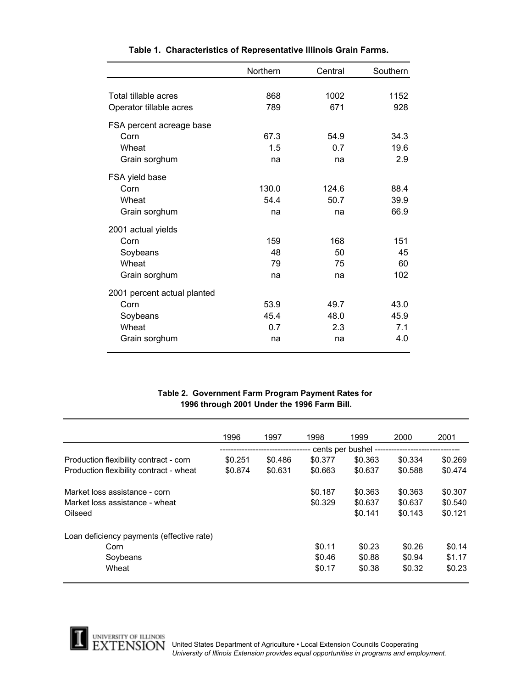|                             | Northern | Central | Southern |
|-----------------------------|----------|---------|----------|
|                             |          |         |          |
| Total tillable acres        | 868      | 1002    | 1152     |
| Operator tillable acres     | 789      | 671     | 928      |
| FSA percent acreage base    |          |         |          |
| Corn                        | 67.3     | 54.9    | 34.3     |
| Wheat                       | 1.5      | 0.7     | 19.6     |
| Grain sorghum               | na       | na      | 2.9      |
| FSA yield base              |          |         |          |
| Corn                        | 130.0    | 124.6   | 88.4     |
| Wheat                       | 54.4     | 50.7    | 39.9     |
| Grain sorghum               | na       | na      | 66.9     |
| 2001 actual yields          |          |         |          |
| Corn                        | 159      | 168     | 151      |
| Soybeans                    | 48       | 50      | 45       |
| Wheat                       | 79       | 75      | 60       |
| Grain sorghum               | na       | na      | 102      |
| 2001 percent actual planted |          |         |          |
| Corn                        | 53.9     | 49.7    | 43.0     |
| Soybeans                    | 45.4     | 48.0    | 45.9     |
| Wheat                       | 0.7      | 2.3     | 7.1      |
| Grain sorghum               | na       | na      | 4.0      |

#### **Table 1. Characteristics of Representative Illinois Grain Farms.**

#### **1996 through 2001 Under the 1996 Farm Bill. Table 2. Government Farm Program Payment Rates for**

|                                           | 1996               | 1997    | 1998    | 1999    | 2000    | 2001    |
|-------------------------------------------|--------------------|---------|---------|---------|---------|---------|
|                                           | cents per bushel - |         |         |         |         |         |
| Production flexibility contract - corn    | \$0.251            | \$0.486 | \$0.377 | \$0.363 | \$0.334 | \$0.269 |
| Production flexibility contract - wheat   | \$0.874            | \$0.631 | \$0.663 | \$0.637 | \$0.588 | \$0.474 |
| Market loss assistance - corn             |                    |         | \$0.187 | \$0.363 | \$0.363 | \$0.307 |
| Market loss assistance - wheat            |                    |         | \$0.329 | \$0.637 | \$0.637 | \$0.540 |
| Oilseed                                   |                    |         |         | \$0.141 | \$0.143 | \$0.121 |
| Loan deficiency payments (effective rate) |                    |         |         |         |         |         |
| Corn                                      |                    |         | \$0.11  | \$0.23  | \$0.26  | \$0.14  |
| Soybeans                                  |                    |         | \$0.46  | \$0.88  | \$0.94  | \$1.17  |
| Wheat                                     |                    |         | \$0.17  | \$0.38  | \$0.32  | \$0.23  |



1

UNIVERSITY OF ILLINOIS<br>EXTENSION United States Department of Agriculture • Local Extension Councils Cooperating *University of Illinois Extension provides equal opportunities in programs and employment.*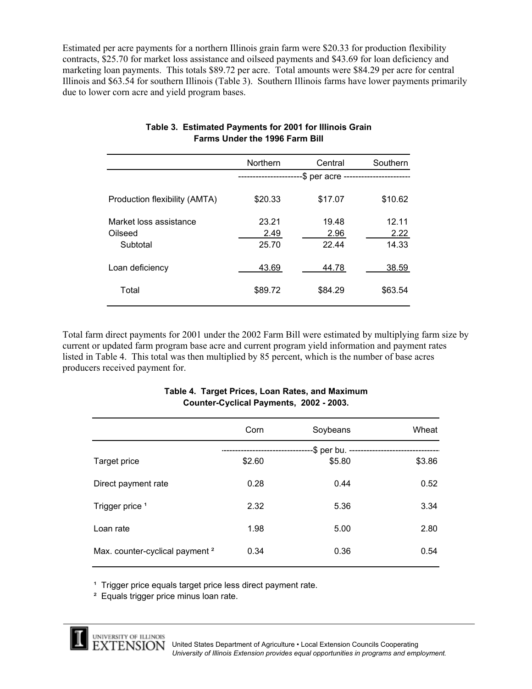Estimated per acre payments for a northern Illinois grain farm were \$20.33 for production flexibility contracts, \$25.70 for market loss assistance and oilseed payments and \$43.69 for loan deficiency and marketing loan payments. This totals \$89.72 per acre. Total amounts were \$84.29 per acre for central Illinois and \$63.54 for southern Illinois (Table 3). Southern Illinois farms have lower payments primarily due to lower corn acre and yield program bases.

|                                   | Northern      | Central                              | Southern      |
|-----------------------------------|---------------|--------------------------------------|---------------|
|                                   | ------------  | -\$ per acre ----------------------- |               |
| Production flexibility (AMTA)     | \$20.33       | \$17.07                              | \$10.62       |
| Market loss assistance<br>Oilseed | 23.21<br>2.49 | 19.48<br>2.96                        | 12.11<br>2.22 |
| Subtotal                          | 25.70         | 22.44                                | 14.33         |
| Loan deficiency                   | 43.69         | 44.78                                | 38.59         |
| Total                             | \$89.72       | \$84.29                              | \$63.54       |
|                                   |               |                                      |               |

## **Table 3. Estimated Payments for 2001 for Illinois Grain Farms Under the 1996 Farm Bill**

Total farm direct payments for 2001 under the 2002 Farm Bill were estimated by multiplying farm size by current or updated farm program base acre and current program yield information and payment rates listed in Table 4. This total was then multiplied by 85 percent, which is the number of base acres producers received payment for.

| Corn | Soybeans                       | Wheat                                                   |
|------|--------------------------------|---------------------------------------------------------|
|      |                                |                                                         |
|      |                                |                                                         |
|      |                                | \$3.86                                                  |
|      |                                |                                                         |
|      |                                |                                                         |
|      |                                | 0.52                                                    |
|      |                                |                                                         |
|      |                                |                                                         |
|      |                                | 3.34                                                    |
|      |                                |                                                         |
|      |                                |                                                         |
| 1.98 | 5.00                           | 2.80                                                    |
|      |                                |                                                         |
|      |                                |                                                         |
|      |                                | 0.54                                                    |
|      |                                |                                                         |
|      | \$2.60<br>0.28<br>2.32<br>0.34 | -\$ per bu. ---------<br>\$5.80<br>0.44<br>5.36<br>0.36 |

#### **Table 4. Target Prices, Loan Rates, and Maximum Counter-Cyclical Payments, 2002 - 2003.**

<sup>1</sup> Trigger price equals target price less direct payment rate.

² Equals trigger price minus loan rate.

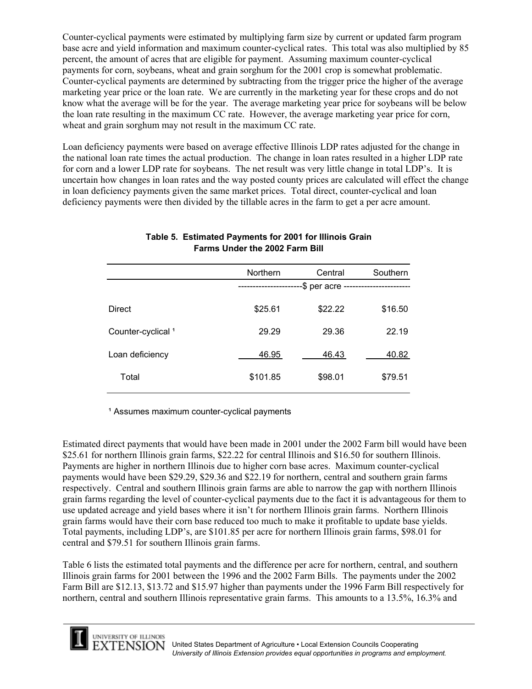Counter-cyclical payments were estimated by multiplying farm size by current or updated farm program base acre and yield information and maximum counter-cyclical rates. This total was also multiplied by 85 percent, the amount of acres that are eligible for payment. Assuming maximum counter-cyclical payments for corn, soybeans, wheat and grain sorghum for the 2001 crop is somewhat problematic. Counter-cyclical payments are determined by subtracting from the trigger price the higher of the average marketing year price or the loan rate. We are currently in the marketing year for these crops and do not know what the average will be for the year. The average marketing year price for soybeans will be below the loan rate resulting in the maximum CC rate. However, the average marketing year price for corn, wheat and grain sorghum may not result in the maximum CC rate.

Loan deficiency payments were based on average effective Illinois LDP rates adjusted for the change in the national loan rate times the actual production. The change in loan rates resulted in a higher LDP rate for corn and a lower LDP rate for soybeans. The net result was very little change in total LDP's. It is uncertain how changes in loan rates and the way posted county prices are calculated will effect the change in loan deficiency payments given the same market prices. Total direct, counter-cyclical and loan deficiency payments were then divided by the tillable acres in the farm to get a per acre amount.

|                               | Northern | Central         | Southern |
|-------------------------------|----------|-----------------|----------|
|                               |          | -\$ per acre -- |          |
| <b>Direct</b>                 | \$25.61  | \$22.22         | \$16.50  |
| Counter-cyclical <sup>1</sup> | 29.29    | 29.36           | 22.19    |
| Loan deficiency               | 46.95    | 46.43           | 40.82    |
| Total                         | \$101.85 | \$98.01         | \$79.51  |

# **Table 5. Estimated Payments for 2001 for Illinois Grain Farms Under the 2002 Farm Bill**

<sup>1</sup> Assumes maximum counter-cyclical payments

Estimated direct payments that would have been made in 2001 under the 2002 Farm bill would have been \$25.61 for northern Illinois grain farms, \$22.22 for central Illinois and \$16.50 for southern Illinois. Payments are higher in northern Illinois due to higher corn base acres. Maximum counter-cyclical payments would have been \$29.29, \$29.36 and \$22.19 for northern, central and southern grain farms respectively. Central and southern Illinois grain farms are able to narrow the gap with northern Illinois grain farms regarding the level of counter-cyclical payments due to the fact it is advantageous for them to use updated acreage and yield bases where it isn't for northern Illinois grain farms. Northern Illinois grain farms would have their corn base reduced too much to make it profitable to update base yields. Total payments, including LDP's, are \$101.85 per acre for northern Illinois grain farms, \$98.01 for central and \$79.51 for southern Illinois grain farms.

Table 6 lists the estimated total payments and the difference per acre for northern, central, and southern Illinois grain farms for 2001 between the 1996 and the 2002 Farm Bills. The payments under the 2002 Farm Bill are \$12.13, \$13.72 and \$15.97 higher than payments under the 1996 Farm Bill respectively for northern, central and southern Illinois representative grain farms. This amounts to a 13.5%, 16.3% and

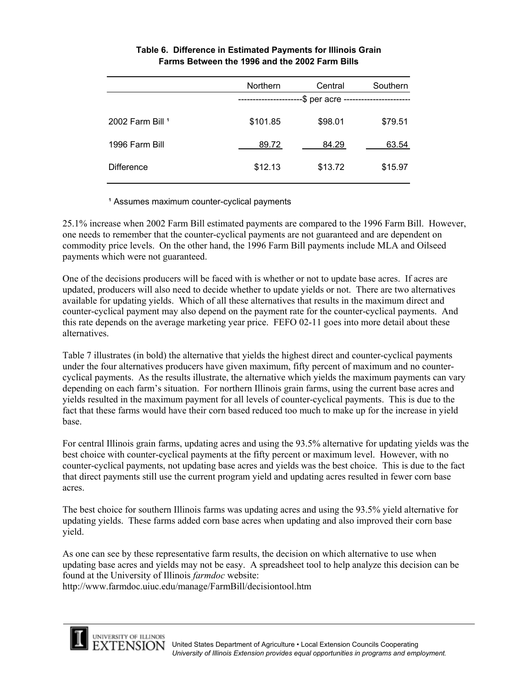|                   | <b>Northern</b> | Central | Southern |  |
|-------------------|-----------------|---------|----------|--|
|                   | -\$ per acre -  |         |          |  |
|                   |                 |         |          |  |
| 2002 Farm Bill 1  | \$101.85        | \$98.01 | \$79.51  |  |
|                   |                 |         |          |  |
| 1996 Farm Bill    | 89.72           | 84.29   | 63.54    |  |
|                   |                 |         |          |  |
| <b>Difference</b> | \$12.13         | \$13.72 | \$15.97  |  |
|                   |                 |         |          |  |

# **Farms Between the 1996 and the 2002 Farm Bills Table 6. Difference in Estimated Payments for Illinois Grain**

<sup>1</sup> Assumes maximum counter-cyclical payments

25.1% increase when 2002 Farm Bill estimated payments are compared to the 1996 Farm Bill. However, one needs to remember that the counter-cyclical payments are not guaranteed and are dependent on commodity price levels. On the other hand, the 1996 Farm Bill payments include MLA and Oilseed payments which were not guaranteed.

One of the decisions producers will be faced with is whether or not to update base acres. If acres are updated, producers will also need to decide whether to update yields or not. There are two alternatives available for updating yields. Which of all these alternatives that results in the maximum direct and counter-cyclical payment may also depend on the payment rate for the counter-cyclical payments. And this rate depends on the average marketing year price. FEFO 02-11 goes into more detail about these alternatives.

Table 7 illustrates (in bold) the alternative that yields the highest direct and counter-cyclical payments under the four alternatives producers have given maximum, fifty percent of maximum and no countercyclical payments. As the results illustrate, the alternative which yields the maximum payments can vary depending on each farm's situation. For northern Illinois grain farms, using the current base acres and yields resulted in the maximum payment for all levels of counter-cyclical payments. This is due to the fact that these farms would have their corn based reduced too much to make up for the increase in yield base.

For central Illinois grain farms, updating acres and using the 93.5% alternative for updating yields was the best choice with counter-cyclical payments at the fifty percent or maximum level. However, with no counter-cyclical payments, not updating base acres and yields was the best choice. This is due to the fact that direct payments still use the current program yield and updating acres resulted in fewer corn base acres.

The best choice for southern Illinois farms was updating acres and using the 93.5% yield alternative for updating yields. These farms added corn base acres when updating and also improved their corn base yield.

As one can see by these representative farm results, the decision on which alternative to use when updating base acres and yields may not be easy. A spreadsheet tool to help analyze this decision can be found at the University of Illinois *farmdoc* website:

http://www.farmdoc.uiuc.edu/manage/FarmBill/decisiontool.htm